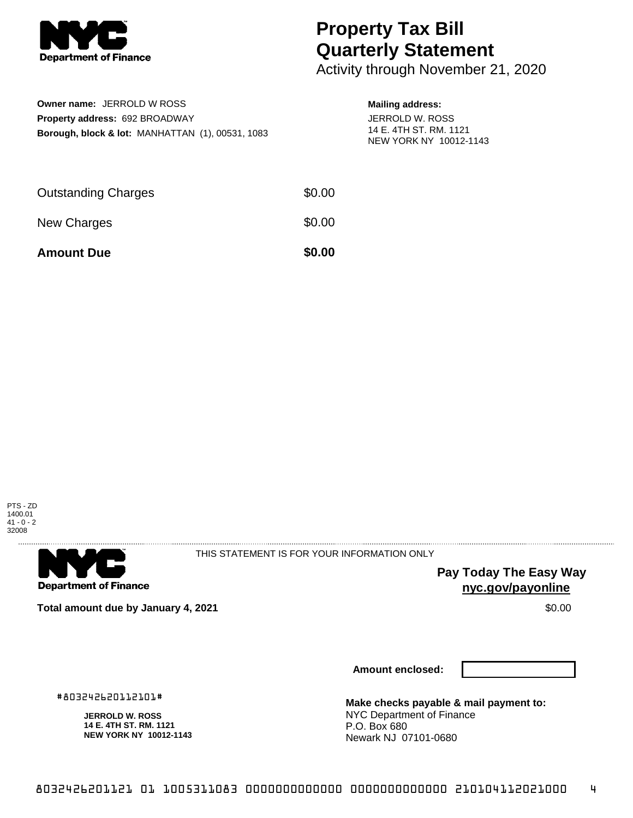

# **Property Tax Bill Quarterly Statement**

Activity through November 21, 2020

| <b>Owner name: JERROLD W ROSS</b>                           |
|-------------------------------------------------------------|
| <b>Property address: 692 BROADWAY</b>                       |
| <b>Borough, block &amp; lot: MANHATTAN (1), 00531, 1083</b> |

### **Mailing address:**

JERROLD W. ROSS 14 E. 4TH ST. RM. 1121 NEW YORK NY 10012-1143

| <b>Amount Due</b>          | \$0.00 |
|----------------------------|--------|
| New Charges                | \$0.00 |
| <b>Outstanding Charges</b> | \$0.00 |





THIS STATEMENT IS FOR YOUR INFORMATION ONLY

**Pay Today The Easy Way nyc.gov/payonline**

**Total amount due by January 4, 2021 \$0.00**  $\bullet$  **\$0.00**  $\bullet$  **\$0.00**  $\bullet$  **\$0.00** 

**Amount enclosed:**

#803242620112101#

**JERROLD W. ROSS 14 E. 4TH ST. RM. 1121 NEW YORK NY 10012-1143** **Make checks payable & mail payment to:** NYC Department of Finance P.O. Box 680 Newark NJ 07101-0680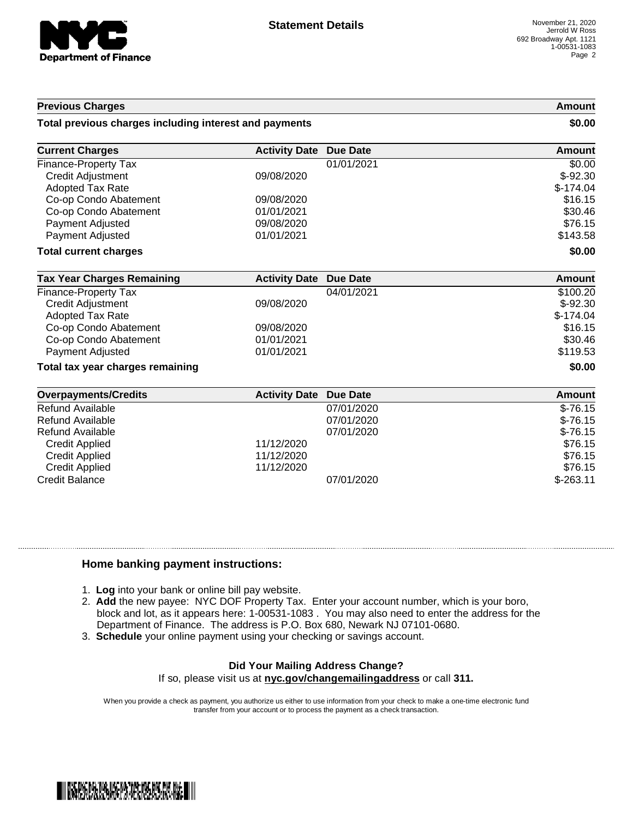

#### **Previous Charges Amount**

#### **Total previous charges including interest and payments \$0.00**

| <b>Current Charges</b>       | <b>Activity Date Due Date</b> | Amount     |
|------------------------------|-------------------------------|------------|
| Finance-Property Tax         | 01/01/2021                    | \$0.00     |
| <b>Credit Adjustment</b>     | 09/08/2020                    | $$-92.30$  |
| Adopted Tax Rate             |                               | $$-174.04$ |
| Co-op Condo Abatement        | 09/08/2020                    | \$16.15    |
| Co-op Condo Abatement        | 01/01/2021                    | \$30.46    |
| Payment Adjusted             | 09/08/2020                    | \$76.15    |
| <b>Payment Adjusted</b>      | 01/01/2021                    | \$143.58   |
| <b>Total current charges</b> |                               | \$0.00     |

| <b>Tax Year Charges Remaining</b> | <b>Activity Date Due Date</b> |            | Amount     |
|-----------------------------------|-------------------------------|------------|------------|
| Finance-Property Tax              |                               | 04/01/2021 | \$100.20   |
| Credit Adjustment                 | 09/08/2020                    |            | $$-92.30$  |
| Adopted Tax Rate                  |                               |            | $$-174.04$ |
| Co-op Condo Abatement             | 09/08/2020                    |            | \$16.15    |
| Co-op Condo Abatement             | 01/01/2021                    |            | \$30.46    |
| Payment Adjusted                  | 01/01/2021                    |            | \$119.53   |
| Total tax year charges remaining  |                               | \$0.00     |            |

| <b>Overpayments/Credits</b> | <b>Activity Date Due Date</b> |            | Amount     |
|-----------------------------|-------------------------------|------------|------------|
| Refund Available            |                               | 07/01/2020 | $$-76.15$  |
| Refund Available            |                               | 07/01/2020 | $$-76.15$  |
| Refund Available            |                               | 07/01/2020 | $$-76.15$  |
| <b>Credit Applied</b>       | 11/12/2020                    |            | \$76.15    |
| <b>Credit Applied</b>       | 11/12/2020                    |            | \$76.15    |
| <b>Credit Applied</b>       | 11/12/2020                    |            | \$76.15    |
| Credit Balance              |                               | 07/01/2020 | $$-263.11$ |

#### **Home banking payment instructions:**

- 1. **Log** into your bank or online bill pay website.
- 2. **Add** the new payee: NYC DOF Property Tax. Enter your account number, which is your boro, block and lot, as it appears here: 1-00531-1083 . You may also need to enter the address for the Department of Finance. The address is P.O. Box 680, Newark NJ 07101-0680.
- 3. **Schedule** your online payment using your checking or savings account.

## **Did Your Mailing Address Change?**

If so, please visit us at **nyc.gov/changemailingaddress** or call **311.**

When you provide a check as payment, you authorize us either to use information from your check to make a one-time electronic fund transfer from your account or to process the payment as a check transaction.